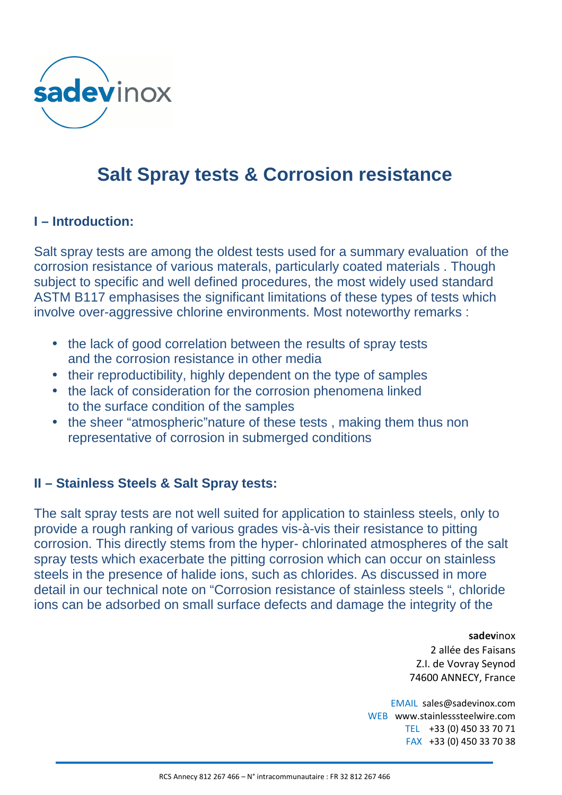

# **Salt Spray tests & Corrosion resistance**

## **I – Introduction:**

Salt spray tests are among the oldest tests used for a summary evaluation of the corrosion resistance of various materals, particularly coated materials . Though subject to specific and well defined procedures, the most widely used standard ASTM B117 emphasises the significant limitations of these types of tests which involve over-aggressive chlorine environments. Most noteworthy remarks :

- the lack of good correlation between the results of spray tests and the corrosion resistance in other media
- their reproductibility, highly dependent on the type of samples
- the lack of consideration for the corrosion phenomena linked to the surface condition of the samples
- the sheer "atmospheric" nature of these tests, making them thus non representative of corrosion in submerged conditions

# **II – Stainless Steels & Salt Spray tests:**

The salt spray tests are not well suited for application to stainless steels, only to provide a rough ranking of various grades vis-à-vis their resistance to pitting corrosion. This directly stems from the hyper- chlorinated atmospheres of the salt spray tests which exacerbate the pitting corrosion which can occur on stainless steels in the presence of halide ions, such as chlorides. As discussed in more detail in our technical note on "Corrosion resistance of stainless steels ", chloride ions can be adsorbed on small surface defects and damage the integrity of the

> **sadev**inox 2 allée des Faisans Z.I. de Vovray Seynod 74600 ANNECY, France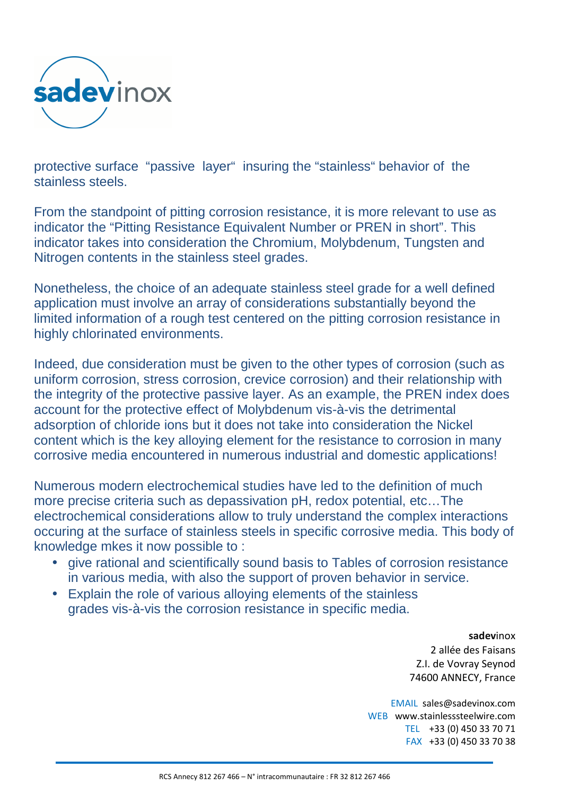

protective surface "passive layer" insuring the "stainless" behavior of the stainless steels.

From the standpoint of pitting corrosion resistance, it is more relevant to use as indicator the "Pitting Resistance Equivalent Number or PREN in short". This indicator takes into consideration the Chromium, Molybdenum, Tungsten and Nitrogen contents in the stainless steel grades.

Nonetheless, the choice of an adequate stainless steel grade for a well defined application must involve an array of considerations substantially beyond the limited information of a rough test centered on the pitting corrosion resistance in highly chlorinated environments.

Indeed, due consideration must be given to the other types of corrosion (such as uniform corrosion, stress corrosion, crevice corrosion) and their relationship with the integrity of the protective passive layer. As an example, the PREN index does account for the protective effect of Molybdenum vis-à-vis the detrimental adsorption of chloride ions but it does not take into consideration the Nickel content which is the key alloying element for the resistance to corrosion in many corrosive media encountered in numerous industrial and domestic applications!

Numerous modern electrochemical studies have led to the definition of much more precise criteria such as depassivation pH, redox potential, etc…The electrochemical considerations allow to truly understand the complex interactions occuring at the surface of stainless steels in specific corrosive media. This body of knowledge mkes it now possible to :

- give rational and scientifically sound basis to Tables of corrosion resistance in various media, with also the support of proven behavior in service.
- Explain the role of various alloying elements of the stainless grades vis-à-vis the corrosion resistance in specific media.

#### **sadev**inox

2 allée des Faisans Z.I. de Vovray Seynod 74600 ANNECY, France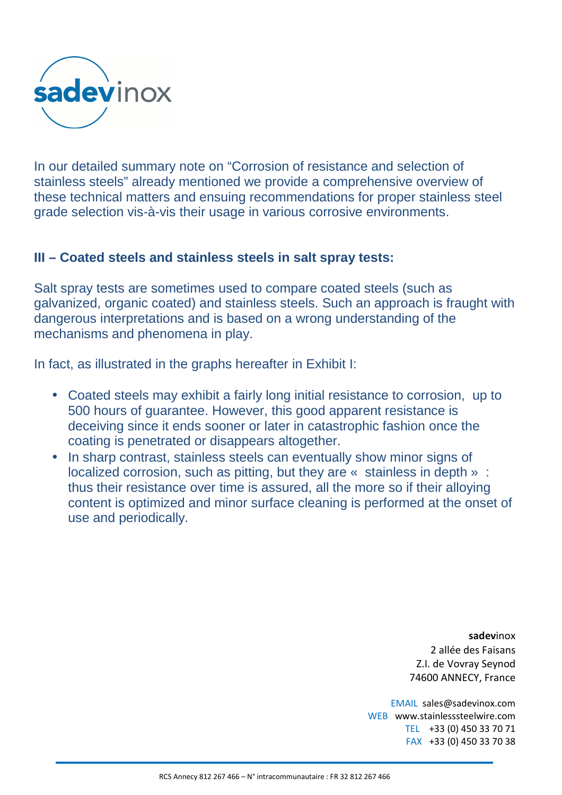

In our detailed summary note on "Corrosion of resistance and selection of stainless steels" already mentioned we provide a comprehensive overview of these technical matters and ensuing recommendations for proper stainless steel grade selection vis-à-vis their usage in various corrosive environments.

## **III – Coated steels and stainless steels in salt spray tests:**

Salt spray tests are sometimes used to compare coated steels (such as galvanized, organic coated) and stainless steels. Such an approach is fraught with dangerous interpretations and is based on a wrong understanding of the mechanisms and phenomena in play.

In fact, as illustrated in the graphs hereafter in Exhibit I:

- Coated steels may exhibit a fairly long initial resistance to corrosion, up to 500 hours of guarantee. However, this good apparent resistance is deceiving since it ends sooner or later in catastrophic fashion once the coating is penetrated or disappears altogether.
- In sharp contrast, stainless steels can eventually show minor signs of localized corrosion, such as pitting, but they are « stainless in depth » : thus their resistance over time is assured, all the more so if their alloying content is optimized and minor surface cleaning is performed at the onset of use and periodically.

**sadev**inox 2 allée des Faisans Z.I. de Vovray Seynod 74600 ANNECY, France